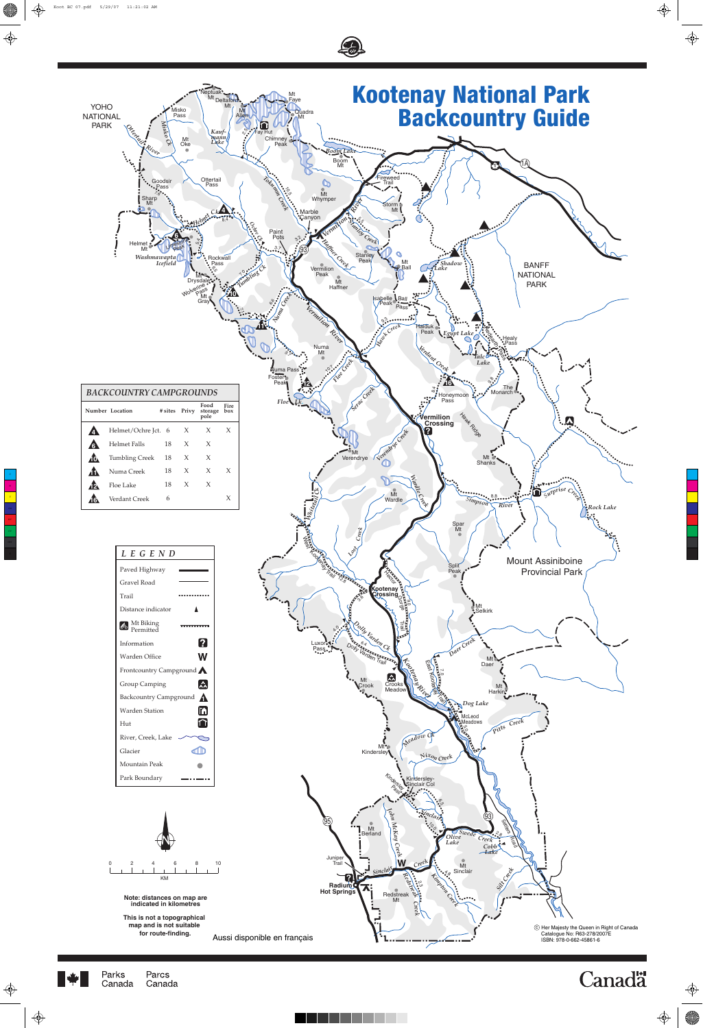